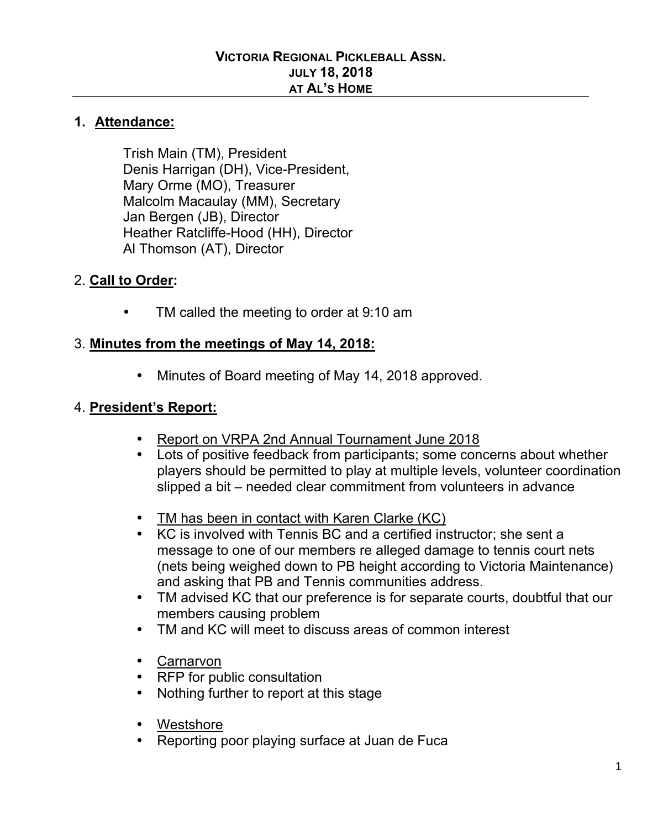#### **1. Attendance:**

Trish Main (TM), President Denis Harrigan (DH), Vice-President, Mary Orme (MO), Treasurer Malcolm Macaulay (MM), Secretary Jan Bergen (JB), Director Heather Ratcliffe-Hood (HH), Director Al Thomson (AT), Director

#### 2. **Call to Order:**

TM called the meeting to order at 9:10 am

#### 3. **Minutes from the meetings of May 14, 2018:**

• Minutes of Board meeting of May 14, 2018 approved.

#### 4. **President's Report:**

- Report on VRPA 2nd Annual Tournament June 2018
- Lots of positive feedback from participants; some concerns about whether players should be permitted to play at multiple levels, volunteer coordination slipped a bit – needed clear commitment from volunteers in advance
- TM has been in contact with Karen Clarke (KC)
- KC is involved with Tennis BC and a certified instructor; she sent a message to one of our members re alleged damage to tennis court nets (nets being weighed down to PB height according to Victoria Maintenance) and asking that PB and Tennis communities address.
- TM advised KC that our preference is for separate courts, doubtful that our members causing problem
- TM and KC will meet to discuss areas of common interest
- Carnarvon
- RFP for public consultation
- Nothing further to report at this stage
- Westshore
- Reporting poor playing surface at Juan de Fuca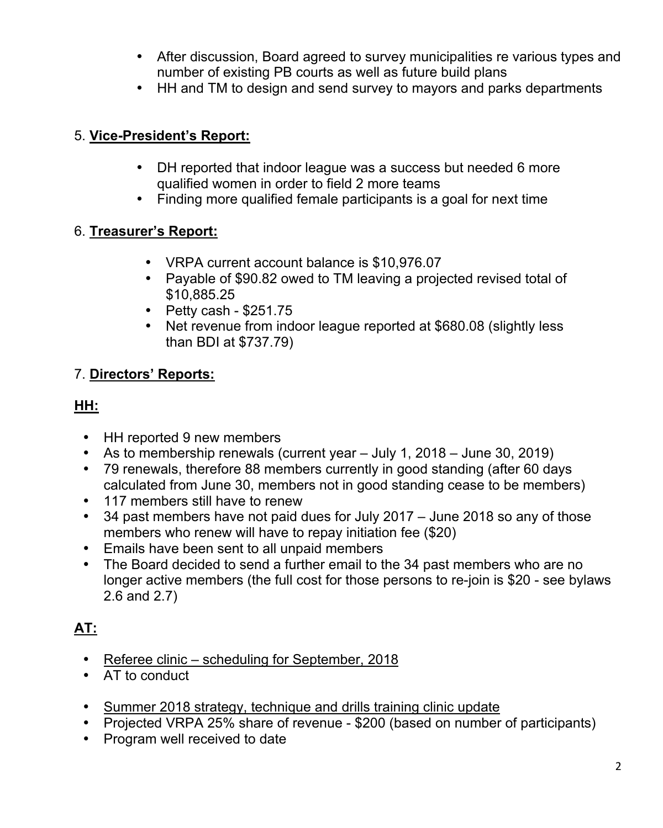- After discussion, Board agreed to survey municipalities re various types and number of existing PB courts as well as future build plans
- HH and TM to design and send survey to mayors and parks departments

### 5. **Vice-President's Report:**

- DH reported that indoor league was a success but needed 6 more qualified women in order to field 2 more teams
- Finding more qualified female participants is a goal for next time

## 6. **Treasurer's Report:**

- VRPA current account balance is \$10,976.07
- Payable of \$90.82 owed to TM leaving a projected revised total of \$10,885.25
- Petty cash \$251.75
- Net revenue from indoor league reported at \$680.08 (slightly less than BDI at \$737.79)

## 7. **Directors' Reports:**

## **HH:**

- HH reported 9 new members
- As to membership renewals (current year July 1, 2018 June 30, 2019)
- 79 renewals, therefore 88 members currently in good standing (after 60 days calculated from June 30, members not in good standing cease to be members)
- 117 members still have to renew
- 34 past members have not paid dues for July 2017 June 2018 so any of those members who renew will have to repay initiation fee (\$20)
- Emails have been sent to all unpaid members
- The Board decided to send a further email to the 34 past members who are no longer active members (the full cost for those persons to re-join is \$20 - see bylaws 2.6 and 2.7)

# **AT:**

- Referee clinic scheduling for September, 2018
- AT to conduct
- Summer 2018 strategy, technique and drills training clinic update
- Projected VRPA 25% share of revenue \$200 (based on number of participants)
- Program well received to date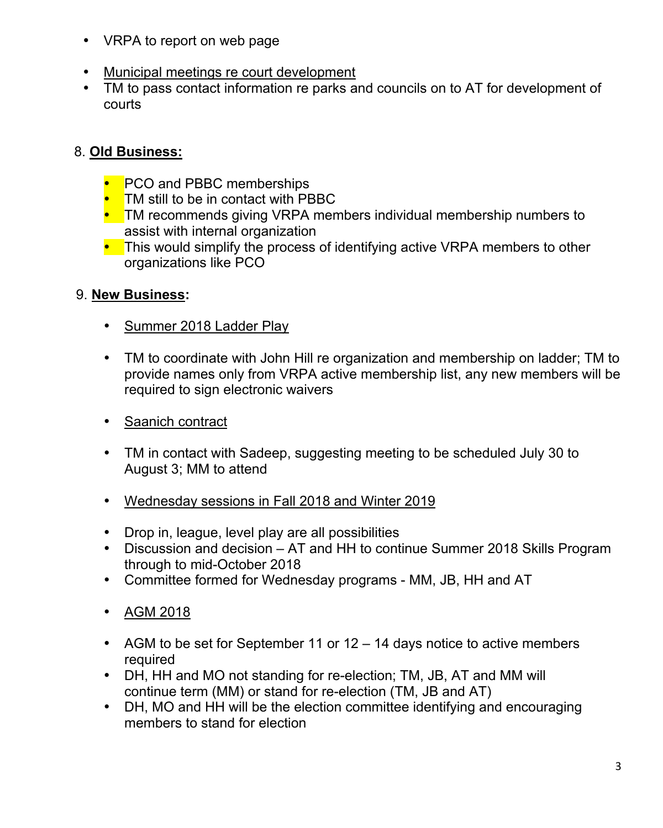- VRPA to report on web page
- Municipal meetings re court development
- TM to pass contact information re parks and councils on to AT for development of courts

# 8. **Old Business:**

- PCO and PBBC memberships
- TM still to be in contact with PBBC
- TM recommends giving VRPA members individual membership numbers to assist with internal organization
- This would simplify the process of identifying active VRPA members to other organizations like PCO

# 9. **New Business:**

- Summer 2018 Ladder Play
- TM to coordinate with John Hill re organization and membership on ladder; TM to provide names only from VRPA active membership list, any new members will be required to sign electronic waivers
- Saanich contract
- TM in contact with Sadeep, suggesting meeting to be scheduled July 30 to August 3; MM to attend
- Wednesday sessions in Fall 2018 and Winter 2019
- Drop in, league, level play are all possibilities
- Discussion and decision AT and HH to continue Summer 2018 Skills Program through to mid-October 2018
- Committee formed for Wednesday programs MM, JB, HH and AT
- AGM 2018
- AGM to be set for September 11 or 12 14 days notice to active members required
- DH, HH and MO not standing for re-election; TM, JB, AT and MM will continue term (MM) or stand for re-election (TM, JB and AT)
- DH, MO and HH will be the election committee identifying and encouraging members to stand for election